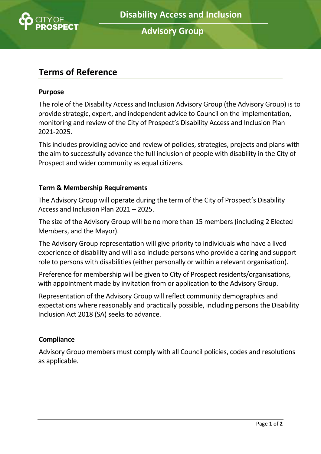

**Advisory Group**

# **Terms of Reference**

#### **Purpose**

The role of the Disability Access and Inclusion Advisory Group (the Advisory Group) is to provide strategic, expert, and independent advice to Council on the implementation, monitoring and review of the City of Prospect's Disability Access and Inclusion Plan 2021-2025.

This includes providing advice and review of policies, strategies, projects and plans with the aim to successfully advance the full inclusion of people with disability in the City of Prospect and wider community as equal citizens.

#### **Term & Membership Requirements**

The Advisory Group will operate during the term of the City of Prospect's Disability Access and Inclusion Plan 2021 – 2025.

The size of the Advisory Group will be no more than 15 members (including 2 Elected Members, and the Mayor).

The Advisory Group representation will give priority to individuals who have a lived experience of disability and will also include persons who provide a caring and support role to persons with disabilities (either personally or within a relevant organisation).

Preference for membership will be given to City of Prospect residents/organisations, with appointment made by invitation from or application to the Advisory Group.

Representation of the Advisory Group will reflect community demographics and expectations where reasonably and practically possible, including persons the Disability Inclusion Act 2018 (SA) seeks to advance.

#### **Compliance**

Advisory Group members must comply with all Council policies, codes and resolutions as applicable.